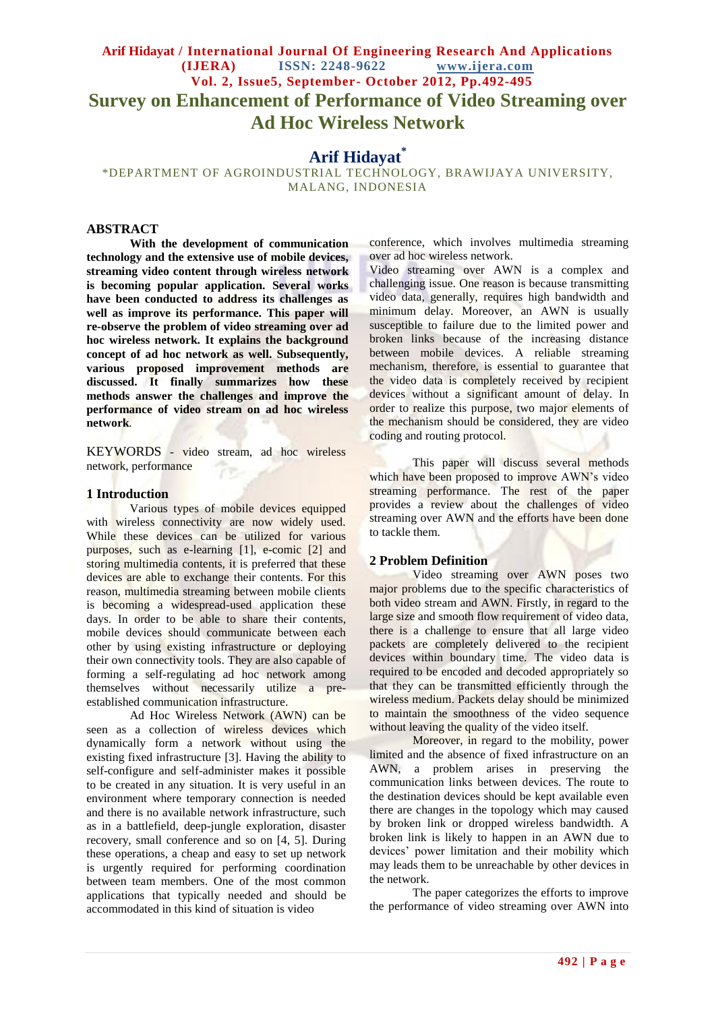# **Arif Hidayat / International Journal Of Engineering Research And Applications (IJERA) ISSN: 2248-9622 www.ijera.com Vol. 2, Issue5, September- October 2012, Pp.492-495 Survey on Enhancement of Performance of Video Streaming over Ad Hoc Wireless Network**

# **Arif Hidayat\***

\*DEPARTMENT OF AGROINDUSTRIAL TECHNOLOGY, BRAWIJAYA UNIVERSITY, MALANG, INDONESIA

# **ABSTRACT**

**With the development of communication technology and the extensive use of mobile devices, streaming video content through wireless network is becoming popular application. Several works have been conducted to address its challenges as well as improve its performance. This paper will re-observe the problem of video streaming over ad hoc wireless network. It explains the background concept of ad hoc network as well. Subsequently, various proposed improvement methods are discussed. It finally summarizes how these methods answer the challenges and improve the performance of video stream on ad hoc wireless network***.*

KEYWORDS *-* video stream, ad hoc wireless network, performance

#### **1 Introduction**

Various types of mobile devices equipped with wireless connectivity are now widely used. While these devices can be utilized for various purposes, such as e-learning [1], e-comic [2] and storing multimedia contents, it is preferred that these devices are able to exchange their contents. For this reason, multimedia streaming between mobile clients is becoming a widespread-used application these days. In order to be able to share their contents, mobile devices should communicate between each other by using existing infrastructure or deploying their own connectivity tools. They are also capable of forming a self-regulating ad hoc network among themselves without necessarily utilize a preestablished communication infrastructure.

Ad Hoc Wireless Network (AWN) can be seen as a collection of wireless devices which dynamically form a network without using the existing fixed infrastructure [3]. Having the ability to self-configure and self-administer makes it possible to be created in any situation. It is very useful in an environment where temporary connection is needed and there is no available network infrastructure, such as in a battlefield, deep-jungle exploration, disaster recovery, small conference and so on [4, 5]. During these operations, a cheap and easy to set up network is urgently required for performing coordination between team members. One of the most common applications that typically needed and should be accommodated in this kind of situation is video

conference, which involves multimedia streaming over ad hoc wireless network.

Video streaming over AWN is a complex and challenging issue. One reason is because transmitting video data, generally, requires high bandwidth and minimum delay. Moreover, an AWN is usually susceptible to failure due to the limited power and broken links because of the increasing distance between mobile devices. A reliable streaming mechanism, therefore, is essential to guarantee that the video data is completely received by recipient devices without a significant amount of delay. In order to realize this purpose, two major elements of the mechanism should be considered, they are video coding and routing protocol.

This paper will discuss several methods which have been proposed to improve AWN's video streaming performance. The rest of the paper provides a review about the challenges of video streaming over AWN and the efforts have been done to tackle them.

#### **2 Problem Definition**

Video streaming over AWN poses two major problems due to the specific characteristics of both video stream and AWN. Firstly, in regard to the large size and smooth flow requirement of video data, there is a challenge to ensure that all large video packets are completely delivered to the recipient devices within boundary time. The video data is required to be encoded and decoded appropriately so that they can be transmitted efficiently through the wireless medium. Packets delay should be minimized to maintain the smoothness of the video sequence without leaving the quality of the video itself.

Moreover, in regard to the mobility, power limited and the absence of fixed infrastructure on an AWN, a problem arises in preserving the communication links between devices. The route to the destination devices should be kept available even there are changes in the topology which may caused by broken link or dropped wireless bandwidth. A broken link is likely to happen in an AWN due to devices' power limitation and their mobility which may leads them to be unreachable by other devices in the network.

The paper categorizes the efforts to improve the performance of video streaming over AWN into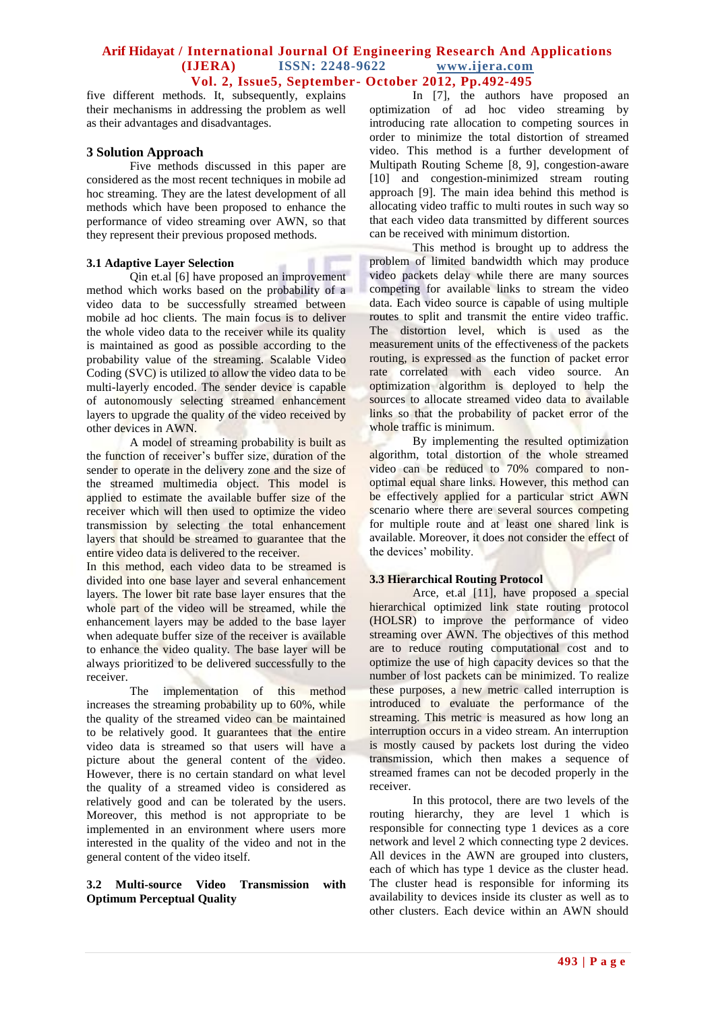## **Arif Hidayat / International Journal Of Engineering Research And Applications (IJERA) ISSN: 2248-9622 www.ijera.com Vol. 2, Issue5, September- October 2012, Pp.492-495**

five different methods. It, subsequently, explains their mechanisms in addressing the problem as well as their advantages and disadvantages.

### **3 Solution Approach**

Five methods discussed in this paper are considered as the most recent techniques in mobile ad hoc streaming. They are the latest development of all methods which have been proposed to enhance the performance of video streaming over AWN, so that they represent their previous proposed methods.

#### **3.1 Adaptive Layer Selection**

Qin et.al [6] have proposed an improvement method which works based on the probability of a video data to be successfully streamed between mobile ad hoc clients. The main focus is to deliver the whole video data to the receiver while its quality is maintained as good as possible according to the probability value of the streaming. Scalable Video Coding (SVC) is utilized to allow the video data to be multi-layerly encoded. The sender device is capable of autonomously selecting streamed enhancement layers to upgrade the quality of the video received by other devices in AWN.

A model of streaming probability is built as the function of receiver's buffer size, duration of the sender to operate in the delivery zone and the size of the streamed multimedia object. This model is applied to estimate the available buffer size of the receiver which will then used to optimize the video transmission by selecting the total enhancement layers that should be streamed to guarantee that the entire video data is delivered to the receiver.

In this method, each video data to be streamed is divided into one base layer and several enhancement layers. The lower bit rate base layer ensures that the whole part of the video will be streamed, while the enhancement layers may be added to the base layer when adequate buffer size of the receiver is available to enhance the video quality. The base layer will be always prioritized to be delivered successfully to the receiver.

The implementation of this method increases the streaming probability up to 60%, while the quality of the streamed video can be maintained to be relatively good. It guarantees that the entire video data is streamed so that users will have a picture about the general content of the video. However, there is no certain standard on what level the quality of a streamed video is considered as relatively good and can be tolerated by the users. Moreover, this method is not appropriate to be implemented in an environment where users more interested in the quality of the video and not in the general content of the video itself.

### **3.2 Multi-source Video Transmission with Optimum Perceptual Quality**

In [7], the authors have proposed an optimization of ad hoc video streaming by introducing rate allocation to competing sources in order to minimize the total distortion of streamed video. This method is a further development of Multipath Routing Scheme [8, 9], congestion-aware [10] and congestion-minimized stream routing approach [9]. The main idea behind this method is allocating video traffic to multi routes in such way so that each video data transmitted by different sources can be received with minimum distortion.

This method is brought up to address the problem of limited bandwidth which may produce video packets delay while there are many sources competing for available links to stream the video data. Each video source is capable of using multiple routes to split and transmit the entire video traffic. The distortion level, which is used as the measurement units of the effectiveness of the packets routing, is expressed as the function of packet error rate correlated with each video source. An optimization algorithm is deployed to help the sources to allocate streamed video data to available links so that the probability of packet error of the whole traffic is minimum.

By implementing the resulted optimization algorithm, total distortion of the whole streamed video can be reduced to 70% compared to nonoptimal equal share links. However, this method can be effectively applied for a particular strict AWN scenario where there are several sources competing for multiple route and at least one shared link is available. Moreover, it does not consider the effect of the devices' mobility.

### **3.3 Hierarchical Routing Protocol**

Arce, et.al [11], have proposed a special hierarchical optimized link state routing protocol (HOLSR) to improve the performance of video streaming over AWN. The objectives of this method are to reduce routing computational cost and to optimize the use of high capacity devices so that the number of lost packets can be minimized. To realize these purposes, a new metric called interruption is introduced to evaluate the performance of the streaming. This metric is measured as how long an interruption occurs in a video stream. An interruption is mostly caused by packets lost during the video transmission, which then makes a sequence of streamed frames can not be decoded properly in the receiver.

In this protocol, there are two levels of the routing hierarchy, they are level 1 which is responsible for connecting type 1 devices as a core network and level 2 which connecting type 2 devices. All devices in the AWN are grouped into clusters, each of which has type 1 device as the cluster head. The cluster head is responsible for informing its availability to devices inside its cluster as well as to other clusters. Each device within an AWN should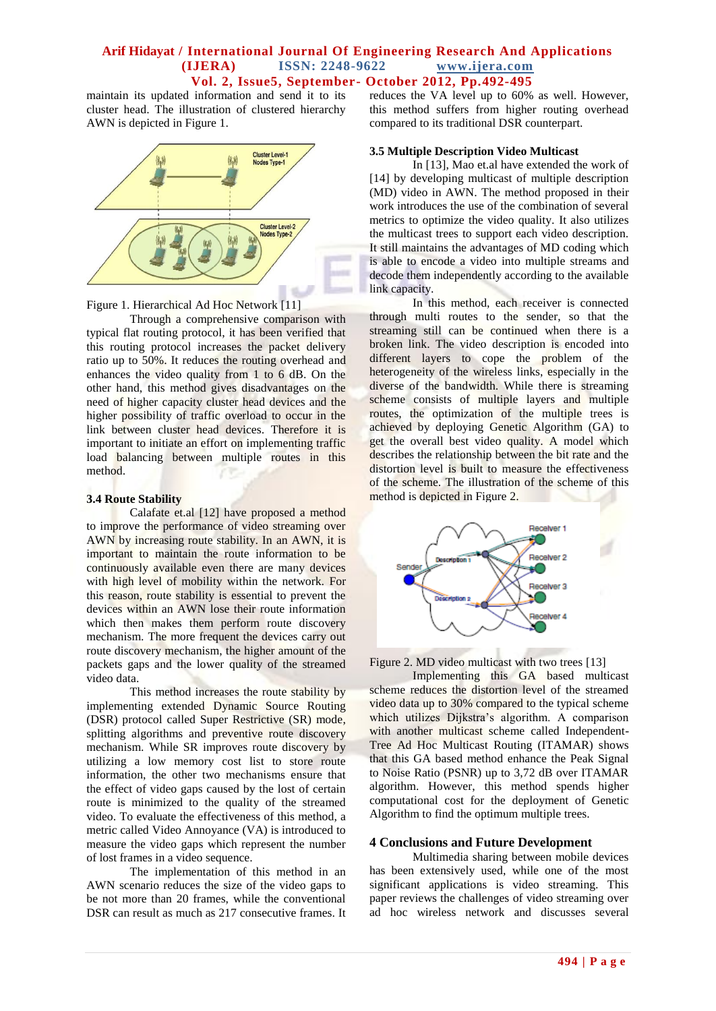### **Arif Hidayat / International Journal Of Engineering Research And Applications (IJERA) ISSN: 2248-9622 www.ijera.com Vol. 2, Issue5, September- October 2012, Pp.492-495**

maintain its updated information and send it to its cluster head. The illustration of clustered hierarchy AWN is depicted in Figure 1.



Figure 1. Hierarchical Ad Hoc Network [11]

Through a comprehensive comparison with typical flat routing protocol, it has been verified that this routing protocol increases the packet delivery ratio up to 50%. It reduces the routing overhead and enhances the video quality from 1 to 6 dB. On the other hand, this method gives disadvantages on the need of higher capacity cluster head devices and the higher possibility of traffic overload to occur in the link between cluster head devices. Therefore it is important to initiate an effort on implementing traffic load balancing between multiple routes in this method.

### **3.4 Route Stability**

Calafate et.al [12] have proposed a method to improve the performance of video streaming over AWN by increasing route stability. In an AWN, it is important to maintain the route information to be continuously available even there are many devices with high level of mobility within the network. For this reason, route stability is essential to prevent the devices within an AWN lose their route information which then makes them perform route discovery mechanism. The more frequent the devices carry out route discovery mechanism, the higher amount of the packets gaps and the lower quality of the streamed video data.

This method increases the route stability by implementing extended Dynamic Source Routing (DSR) protocol called Super Restrictive (SR) mode, splitting algorithms and preventive route discovery mechanism. While SR improves route discovery by utilizing a low memory cost list to store route information, the other two mechanisms ensure that the effect of video gaps caused by the lost of certain route is minimized to the quality of the streamed video. To evaluate the effectiveness of this method, a metric called Video Annoyance (VA) is introduced to measure the video gaps which represent the number of lost frames in a video sequence.

The implementation of this method in an AWN scenario reduces the size of the video gaps to be not more than 20 frames, while the conventional DSR can result as much as 217 consecutive frames. It

reduces the VA level up to 60% as well. However, this method suffers from higher routing overhead compared to its traditional DSR counterpart.

## **3.5 Multiple Description Video Multicast**

In [13], Mao et.al have extended the work of [14] by developing multicast of multiple description (MD) video in AWN. The method proposed in their work introduces the use of the combination of several metrics to optimize the video quality. It also utilizes the multicast trees to support each video description. It still maintains the advantages of MD coding which is able to encode a video into multiple streams and decode them independently according to the available link capacity.

In this method, each receiver is connected through multi routes to the sender, so that the streaming still can be continued when there is a broken link. The video description is encoded into different layers to cope the problem of the heterogeneity of the wireless links, especially in the diverse of the bandwidth. While there is streaming scheme consists of multiple layers and multiple routes, the optimization of the multiple trees is achieved by deploying Genetic Algorithm (GA) to get the overall best video quality. A model which describes the relationship between the bit rate and the distortion level is built to measure the effectiveness of the scheme. The illustration of the scheme of this method is depicted in Figure 2.



Figure 2. MD video multicast with two trees [13]

Implementing this GA based multicast scheme reduces the distortion level of the streamed video data up to 30% compared to the typical scheme which utilizes Dijkstra's algorithm. A comparison with another multicast scheme called Independent-Tree Ad Hoc Multicast Routing (ITAMAR) shows that this GA based method enhance the Peak Signal to Noise Ratio (PSNR) up to 3,72 dB over ITAMAR algorithm. However, this method spends higher computational cost for the deployment of Genetic Algorithm to find the optimum multiple trees.

### **4 Conclusions and Future Development**

Multimedia sharing between mobile devices has been extensively used, while one of the most significant applications is video streaming. This paper reviews the challenges of video streaming over ad hoc wireless network and discusses several